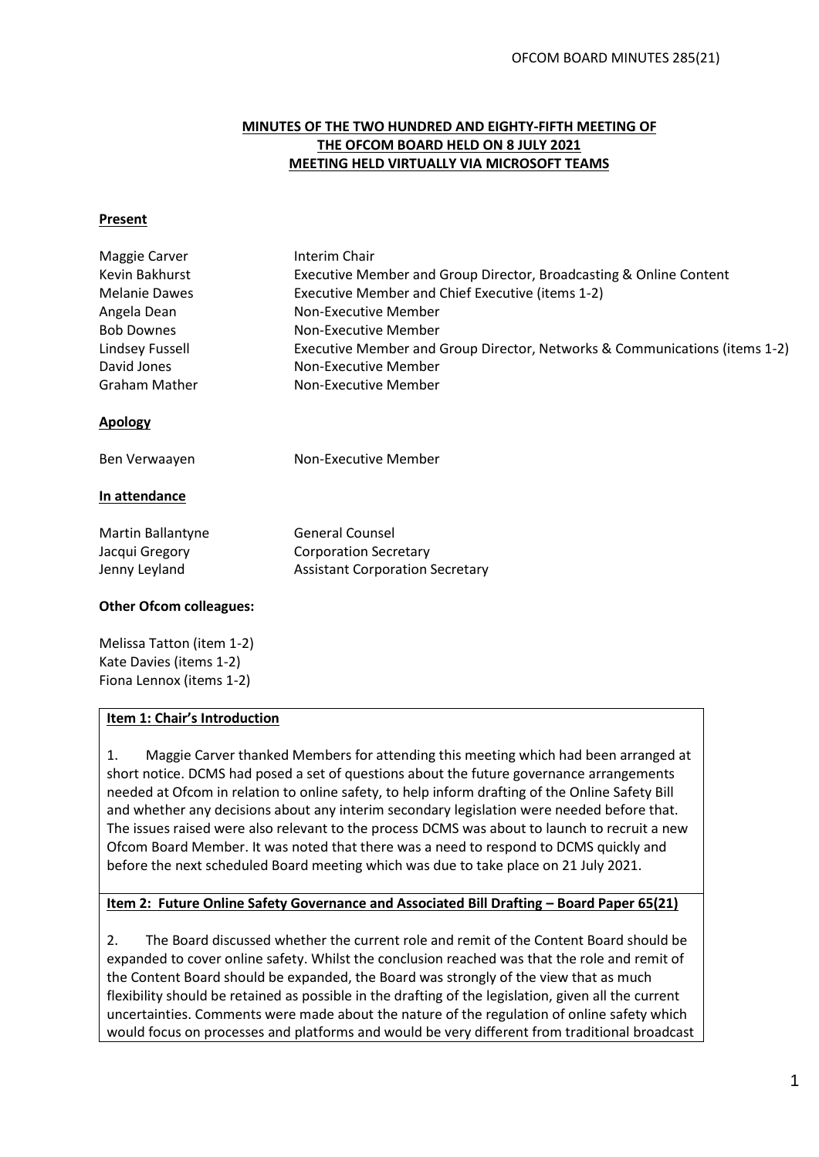# **MINUTES OF THE TWO HUNDRED AND EIGHTY-FIFTH MEETING OF THE OFCOM BOARD HELD ON 8 JULY 2021 MEETING HELD VIRTUALLY VIA MICROSOFT TEAMS**

#### **Present**

| Maggie Carver                  | Interim Chair                                                              |
|--------------------------------|----------------------------------------------------------------------------|
| Kevin Bakhurst                 | Executive Member and Group Director, Broadcasting & Online Content         |
| <b>Melanie Dawes</b>           | Executive Member and Chief Executive (items 1-2)                           |
| Angela Dean                    | Non-Executive Member                                                       |
| <b>Bob Downes</b>              | Non-Executive Member                                                       |
| Lindsey Fussell                | Executive Member and Group Director, Networks & Communications (items 1-2) |
| David Jones                    | Non-Executive Member                                                       |
| Graham Mather                  | Non-Executive Member                                                       |
| <b>Apology</b>                 |                                                                            |
| Ben Verwaayen                  | Non-Executive Member                                                       |
| In attendance                  |                                                                            |
| Martin Ballantyne              | <b>General Counsel</b>                                                     |
| Jacqui Gregory                 | <b>Corporation Secretary</b>                                               |
| Jenny Leyland                  | <b>Assistant Corporation Secretary</b>                                     |
| <b>Other Ofcom colleagues:</b> |                                                                            |
| $M$ olicca Tatton (itam 1.2)   |                                                                            |

Melissa Tatton (item 1-2) Kate Davies (items 1-2) Fiona Lennox (items 1-2)

### **Item 1: Chair's Introduction**

1. Maggie Carver thanked Members for attending this meeting which had been arranged at short notice. DCMS had posed a set of questions about the future governance arrangements needed at Ofcom in relation to online safety, to help inform drafting of the Online Safety Bill and whether any decisions about any interim secondary legislation were needed before that. The issues raised were also relevant to the process DCMS was about to launch to recruit a new Ofcom Board Member. It was noted that there was a need to respond to DCMS quickly and before the next scheduled Board meeting which was due to take place on 21 July 2021.

### **Item 2: Future Online Safety Governance and Associated Bill Drafting – Board Paper 65(21)**

2. The Board discussed whether the current role and remit of the Content Board should be expanded to cover online safety. Whilst the conclusion reached was that the role and remit of the Content Board should be expanded, the Board was strongly of the view that as much flexibility should be retained as possible in the drafting of the legislation, given all the current uncertainties. Comments were made about the nature of the regulation of online safety which would focus on processes and platforms and would be very different from traditional broadcast